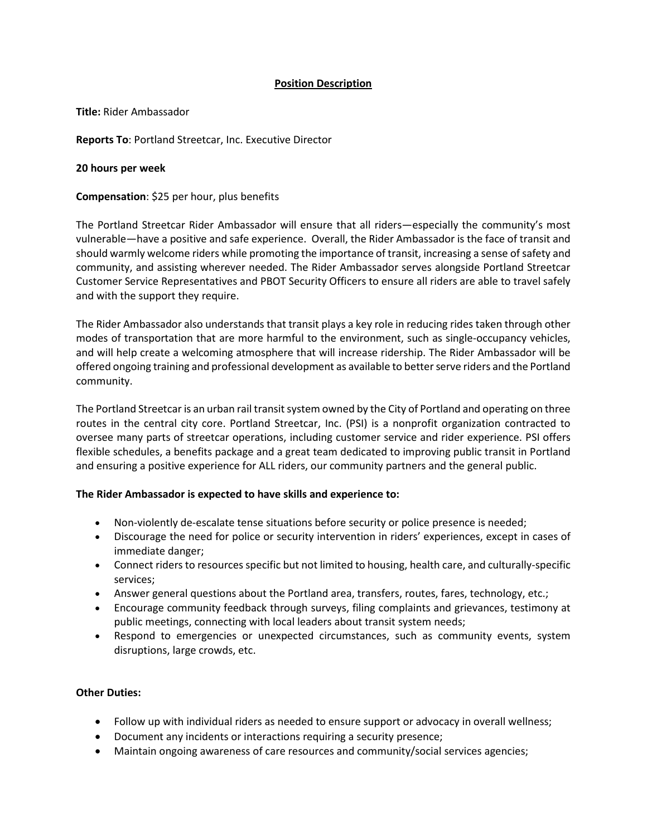# **Position Description**

**Title:** Rider Ambassador

**Reports To**: Portland Streetcar, Inc. Executive Director

**20 hours per week**

**Compensation**: \$25 per hour, plus benefits

The Portland Streetcar Rider Ambassador will ensure that all riders—especially the community's most vulnerable—have a positive and safe experience. Overall, the Rider Ambassador is the face of transit and should warmly welcome riders while promoting the importance of transit, increasing a sense of safety and community, and assisting wherever needed. The Rider Ambassador serves alongside Portland Streetcar Customer Service Representatives and PBOT Security Officers to ensure all riders are able to travel safely and with the support they require.

The Rider Ambassador also understands that transit plays a key role in reducing rides taken through other modes of transportation that are more harmful to the environment, such as single-occupancy vehicles, and will help create a welcoming atmosphere that will increase ridership. The Rider Ambassador will be offered ongoing training and professional development as available to better serve riders and the Portland community.

The Portland Streetcar is an urban rail transit system owned by the City of Portland and operating on three routes in the central city core. Portland Streetcar, Inc. (PSI) is a nonprofit organization contracted to oversee many parts of streetcar operations, including customer service and rider experience. PSI offers flexible schedules, a benefits package and a great team dedicated to improving public transit in Portland and ensuring a positive experience for ALL riders, our community partners and the general public.

## **The Rider Ambassador is expected to have skills and experience to:**

- Non-violently de-escalate tense situations before security or police presence is needed;
- Discourage the need for police or security intervention in riders' experiences, except in cases of immediate danger;
- Connect riders to resources specific but not limited to housing, health care, and culturally-specific services;
- Answer general questions about the Portland area, transfers, routes, fares, technology, etc.;
- Encourage community feedback through surveys, filing complaints and grievances, testimony at public meetings, connecting with local leaders about transit system needs;
- Respond to emergencies or unexpected circumstances, such as community events, system disruptions, large crowds, etc.

## **Other Duties:**

- Follow up with individual riders as needed to ensure support or advocacy in overall wellness;
- Document any incidents or interactions requiring a security presence;
- Maintain ongoing awareness of care resources and community/social services agencies;